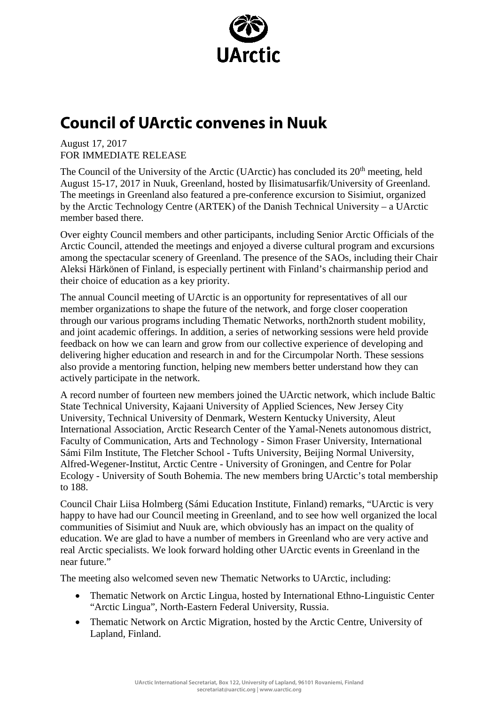

## **Council of UArctic convenes in Nuuk**

August 17, 2017 FOR IMMEDIATE RELEASE

The Council of the University of the Arctic (UArctic) has concluded its  $20<sup>th</sup>$  meeting, held August 15-17, 2017 in Nuuk, Greenland, hosted by Ilisimatusarfik/University of Greenland. The meetings in Greenland also featured a pre-conference excursion to Sisimiut, organized by the Arctic Technology Centre (ARTEK) of the Danish Technical University – a UArctic member based there.

Over eighty Council members and other participants, including Senior Arctic Officials of the Arctic Council, attended the meetings and enjoyed a diverse cultural program and excursions among the spectacular scenery of Greenland. The presence of the SAOs, including their Chair Aleksi Härkönen of Finland, is especially pertinent with Finland's chairmanship period and their choice of education as a key priority.

The annual Council meeting of UArctic is an opportunity for representatives of all our member organizations to shape the future of the network, and forge closer cooperation through our various programs including Thematic Networks, north2north student mobility, and joint academic offerings. In addition, a series of networking sessions were held provide feedback on how we can learn and grow from our collective experience of developing and delivering higher education and research in and for the Circumpolar North. These sessions also provide a mentoring function, helping new members better understand how they can actively participate in the network.

A record number of fourteen new members joined the UArctic network, which include Baltic State Technical University, Kajaani University of Applied Sciences, New Jersey City University, Technical University of Denmark, Western Kentucky University, Aleut International Association, Arctic Research Center of the Yamal-Nenets autonomous district, Faculty of Communication, Arts and Technology - Simon Fraser University, International Sámi Film Institute, The Fletcher School - Tufts University, Beijing Normal University, Alfred-Wegener-Institut, Arctic Centre - University of Groningen, and Centre for Polar Ecology - University of South Bohemia. The new members bring UArctic's total membership to 188.

Council Chair Liisa Holmberg (Sámi Education Institute, Finland) remarks, "UArctic is very happy to have had our Council meeting in Greenland, and to see how well organized the local communities of Sisimiut and Nuuk are, which obviously has an impact on the quality of education. We are glad to have a number of members in Greenland who are very active and real Arctic specialists. We look forward holding other UArctic events in Greenland in the near future."

The meeting also welcomed seven new Thematic Networks to UArctic, including:

- Thematic Network on Arctic Lingua, hosted by International Ethno-Linguistic Center "Arctic Lingua", North-Eastern Federal University, Russia.
- Thematic Network on Arctic Migration, hosted by the Arctic Centre, University of Lapland, Finland.